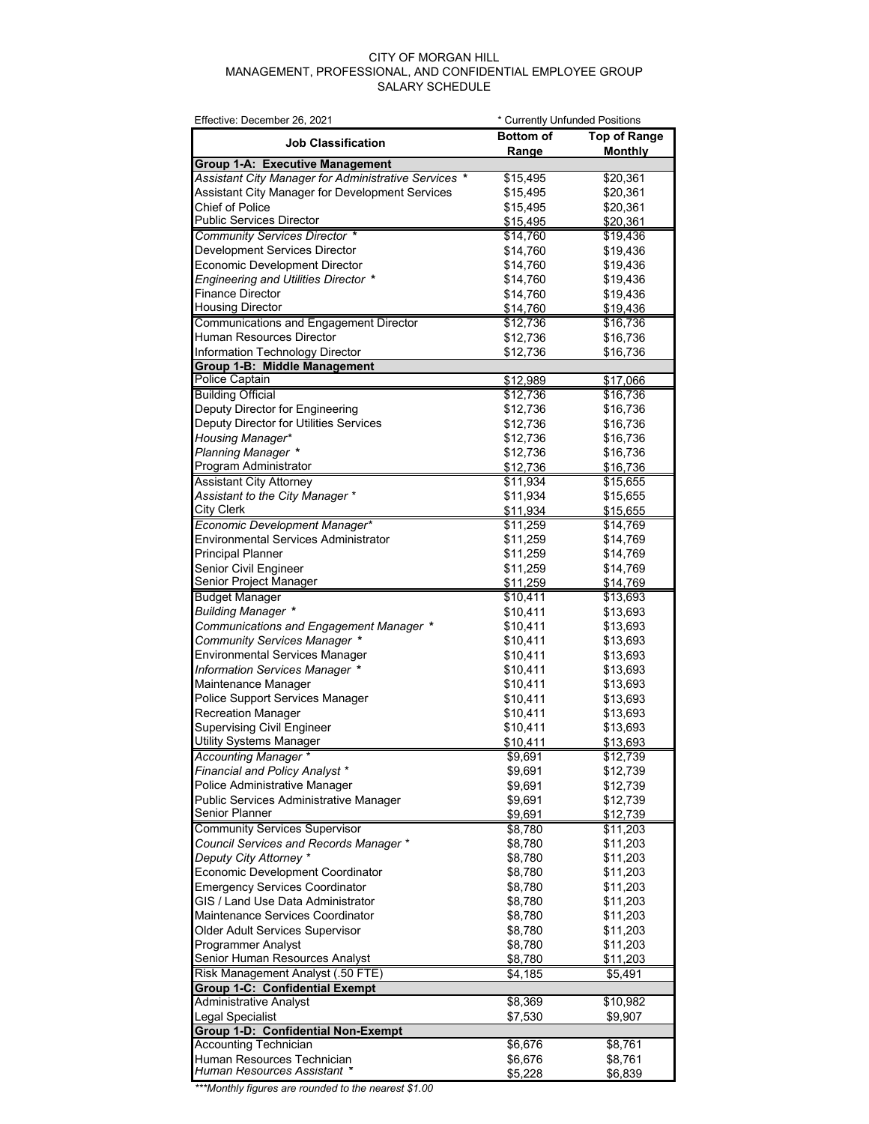## CITY OF MORGAN HILL MANAGEMENT, PROFESSIONAL, AND CONFIDENTIAL EMPLOYEE GROUP SALARY SCHEDULE

| Effective: December 26, 2021                         | * Currently Unfunded Positions |                     |
|------------------------------------------------------|--------------------------------|---------------------|
| <b>Job Classification</b>                            | <b>Bottom of</b>               | <b>Top of Range</b> |
|                                                      | Range                          | <b>Monthly</b>      |
| <b>Group 1-A: Executive Management</b>               |                                |                     |
| Assistant City Manager for Administrative Services * | \$15,495                       | \$20,361            |
| Assistant City Manager for Development Services      | \$15,495                       | \$20,361            |
| Chief of Police                                      | \$15,495                       | \$20,361            |
| <b>Public Services Director</b>                      | \$15,495                       | \$20,361            |
| Community Services Director *                        | \$14,760                       | \$19,436            |
| Development Services Director                        | \$14,760                       | \$19,436            |
| <b>Economic Development Director</b>                 | \$14,760                       | \$19,436            |
| <b>Engineering and Utilities Director *</b>          | \$14,760                       | \$19,436            |
| <b>Finance Director</b>                              | \$14,760                       | \$19,436            |
| <b>Housing Director</b>                              | \$14,760                       | \$19,436            |
| Communications and Engagement Director               | \$12,736                       | \$16,736            |
| Human Resources Director                             | \$12,736                       | \$16,736            |
| Information Technology Director                      | \$12,736                       | \$16,736            |
| Group 1-B: Middle Management                         |                                |                     |
| <b>Police Captain</b>                                | \$12,989                       | \$17,066            |
| <b>Building Official</b>                             | \$12,736                       | \$16,736            |
| Deputy Director for Engineering                      | \$12,736                       | \$16,736            |
| Deputy Director for Utilities Services               | \$12,736                       | \$16,736            |
| Housing Manager*                                     | \$12,736                       | \$16,736            |
| <b>Planning Manager *</b>                            | \$12,736                       | \$16,736            |
| Program Administrator                                | \$12,736                       | \$16,736            |
| <b>Assistant City Attorney</b>                       | \$11,934                       | \$15,655            |
| Assistant to the City Manager *                      | \$11,934                       | \$15,655            |
| <b>City Clerk</b>                                    | \$11,934                       | \$15,655            |
| Economic Development Manager*                        | \$11,259                       | \$14,769            |
| Environmental Services Administrator                 | \$11,259                       | \$14,769            |
| <b>Principal Planner</b>                             | \$11,259                       | \$14,769            |
|                                                      |                                |                     |
| Senior Civil Engineer                                | \$11,259                       | \$14,769            |
| Senior Project Manager                               | \$11,259                       | \$14,769            |
| <b>Budget Manager</b>                                | \$10,411                       | \$13,693            |
| <b>Building Manager *</b>                            | \$10,411                       | \$13,693            |
| Communications and Engagement Manager *              | \$10,411                       | \$13,693            |
| Community Services Manager *                         | \$10,411                       | \$13,693            |
| <b>Environmental Services Manager</b>                | \$10,411                       | \$13,693            |
| Information Services Manager *                       | \$10,411                       | \$13,693            |
| Maintenance Manager                                  | \$10,411                       | \$13,693            |
| Police Support Services Manager                      | \$10,411                       | \$13,693            |
| <b>Recreation Manager</b>                            | \$10,411                       | \$13,693            |
| <b>Supervising Civil Engineer</b>                    | \$10,411                       | \$13,693            |
| <b>Utility Systems Manager</b>                       | \$10,411                       | \$13,693            |
| Accounting Manager *                                 | \$9,691                        | \$12,739            |
| Financial and Policy Analyst *                       | \$9,691                        | \$12,739            |
| Police Administrative Manager                        | \$9,691                        | \$12,739            |
| Public Services Administrative Manager               | \$9,691                        | \$12,739            |
| Senior Planner                                       | \$9,691                        | \$12,739            |
| <b>Community Services Supervisor</b>                 | \$8,780                        | \$11,203            |
| Council Services and Records Manager *               | \$8,780                        | \$11,203            |
| Deputy City Attorney *                               | \$8,780                        | \$11,203            |
| Economic Development Coordinator                     | \$8,780                        | \$11,203            |
| <b>Emergency Services Coordinator</b>                | \$8,780                        | \$11,203            |
| GIS / Land Use Data Administrator                    | \$8,780                        | \$11,203            |
| Maintenance Services Coordinator                     | \$8,780                        | \$11,203            |
| Older Adult Services Supervisor                      | \$8,780                        | \$11,203            |
| Programmer Analyst                                   | \$8,780                        | \$11,203            |
| Senior Human Resources Analyst                       | \$8,780                        | <u>\$11,203</u>     |
| Risk Management Analyst (.50 FTE)                    | \$4,185                        | \$5,491             |
| <b>Group 1-C: Confidential Exempt</b>                |                                |                     |
| Administrative Analyst                               | \$8,369                        | \$10,982            |
| Legal Specialist                                     | \$7,530                        | \$9,907             |
| <b>Group 1-D: Confidential Non-Exempt</b>            |                                |                     |
| <b>Accounting Technician</b>                         | \$6,676                        | \$8,761             |
| Human Resources Technician                           | \$6,676                        | \$8,761             |
| Human Resources Assistant *                          | \$5,228                        | \$6,839             |

*\*\*\*Monthly figures are rounded to the nearest \$1.00*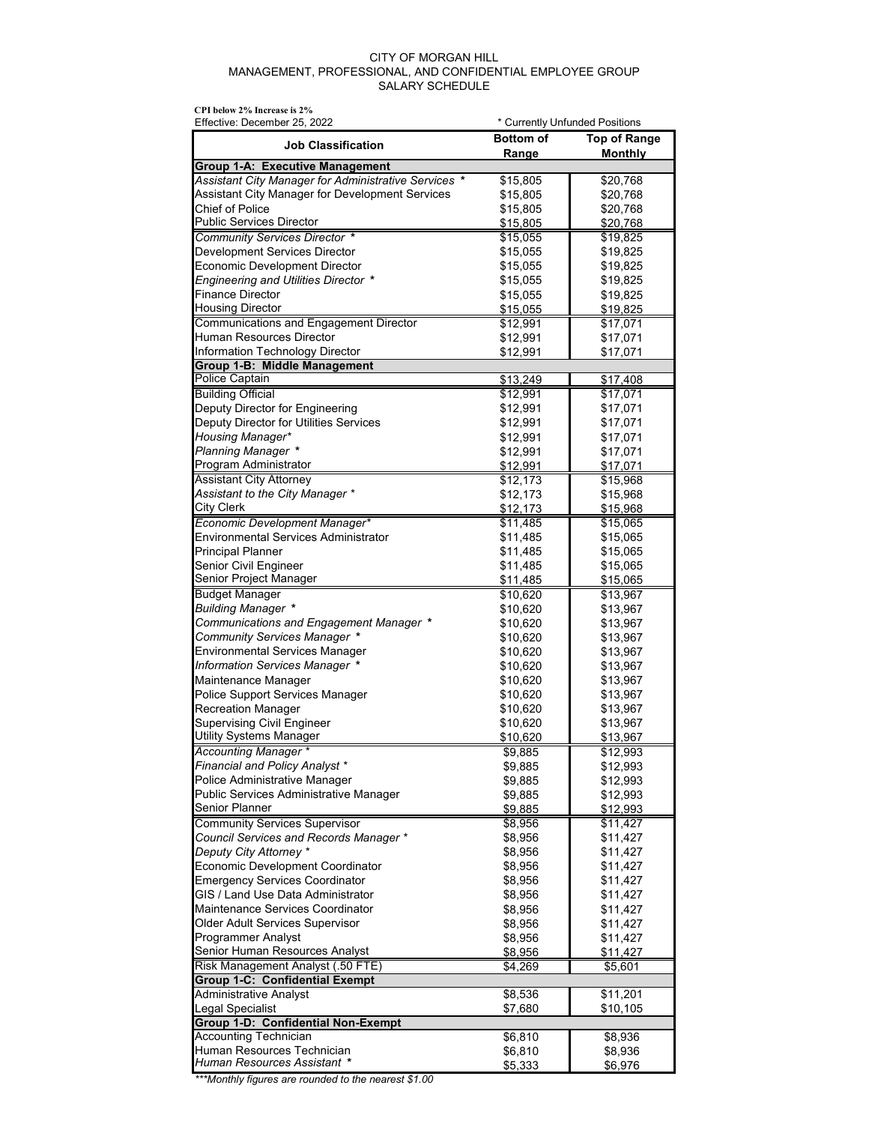## CITY OF MORGAN HILL MANAGEMENT, PROFESSIONAL, AND CONFIDENTIAL EMPLOYEE GROUP SALARY SCHEDULE

| CPI below 2% Increase is 2%<br>Effective: December 25, 2022                | * Currently Unfunded Positions |                      |
|----------------------------------------------------------------------------|--------------------------------|----------------------|
| <b>Job Classification</b>                                                  | <b>Bottom of</b>               | <b>Top of Range</b>  |
| Group 1-A: Executive Management                                            | Range                          | <b>Monthly</b>       |
| Assistant City Manager for Administrative Services *                       | \$15,805                       | \$20,768             |
| Assistant City Manager for Development Services                            | \$15,805                       | \$20,768             |
| Chief of Police                                                            | \$15,805                       | \$20,768             |
| Public Services Director                                                   | \$15,805                       | \$20,768             |
| Community Services Director *                                              | \$15,055                       | \$19,825             |
| <b>Development Services Director</b>                                       | \$15,055                       | \$19,825             |
| <b>Economic Development Director</b>                                       | \$15,055                       | \$19,825             |
| <b>Engineering and Utilities Director *</b>                                | \$15,055                       | \$19,825             |
| <b>Finance Director</b>                                                    | \$15,055                       | \$19,825             |
| <b>Housing Director</b>                                                    | \$15,055                       | \$19,825             |
| Communications and Engagement Director                                     | \$12,991                       | \$17,071             |
| Human Resources Director<br>Information Technology Director                | \$12,991                       | \$17,071             |
| Group 1-B: Middle Management                                               | \$12,991                       | \$17,071             |
| <b>Police Captain</b>                                                      | \$13,249                       | \$17,408             |
| <b>Building Official</b>                                                   | \$12,991                       | \$17,071             |
| Deputy Director for Engineering                                            | \$12,991                       | \$17,071             |
| Deputy Director for Utilities Services                                     | \$12,991                       | \$17,071             |
| <b>Housing Manager*</b>                                                    | \$12,991                       | \$17,071             |
| <b>Planning Manager *</b>                                                  | \$12,991                       | \$17,071             |
| Program Administrator                                                      | \$12,991                       | \$17,071             |
| <b>Assistant City Attorney</b>                                             | \$12,173                       | \$15,968             |
| Assistant to the City Manager *                                            | \$12,173                       | \$15,968             |
| City Clerk                                                                 | \$12,173                       | \$15,968             |
| Economic Development Manager*                                              | \$11,485                       | \$15,065             |
| Environmental Services Administrator<br><b>Principal Planner</b>           | \$11,485                       | \$15,065             |
| Senior Civil Engineer                                                      | \$11,485<br>\$11,485           | \$15,065<br>\$15,065 |
| Senior Project Manager                                                     | \$11,485                       | \$15,065             |
| <b>Budget Manager</b>                                                      | \$10,620                       | \$13,967             |
| <b>Building Manager *</b>                                                  | \$10,620                       | \$13,967             |
| Communications and Engagement Manager *                                    | \$10,620                       | \$13,967             |
| Community Services Manager *                                               | \$10,620                       | \$13,967             |
| Environmental Services Manager                                             | \$10,620                       | \$13,967             |
| Information Services Manager *                                             | \$10,620                       | \$13,967             |
| Maintenance Manager                                                        | \$10,620                       | \$13,967             |
| Police Support Services Manager                                            | \$10,620                       | \$13,967             |
| <b>Recreation Manager</b>                                                  | \$10,620                       | \$13,967             |
| <b>Supervising Civil Engineer</b>                                          | \$10,620                       | \$13,967             |
| Utility Systems Manager                                                    | \$10,620                       | \$13967              |
| Accounting Manager *<br>Financial and Policy Analyst *                     | \$9,885<br>\$9,885             | \$12,993             |
| Police Administrative Manager                                              | \$9,885                        | \$12,993<br>\$12,993 |
| Public Services Administrative Manager                                     | \$9,885                        | \$12,993             |
| Senior Planner                                                             | \$9,885                        | \$12,993             |
| <b>Community Services Supervisor</b>                                       | \$8,956                        | \$11,427             |
| Council Services and Records Manager *                                     | \$8,956                        | \$11,427             |
| Deputy City Attorney *                                                     | \$8,956                        | \$11,427             |
| <b>Economic Development Coordinator</b>                                    | \$8,956                        | \$11,427             |
| <b>Emergency Services Coordinator</b>                                      | \$8,956                        | \$11,427             |
| GIS / Land Use Data Administrator                                          | \$8,956                        | \$11,427             |
| Maintenance Services Coordinator                                           | \$8,956                        | \$11,427             |
| Older Adult Services Supervisor                                            | \$8,956                        | \$11,427             |
| Programmer Analyst                                                         | \$8,956                        | \$11,427             |
| Senior Human Resources Analyst                                             | \$8,956                        | \$11,427             |
| Risk Management Analyst (.50 FTE)<br><b>Group 1-C: Confidential Exempt</b> | \$4,269                        | \$5,601              |
| Administrative Analyst                                                     | \$8,536                        | \$11,201             |
| Legal Specialist                                                           | \$7,680                        | \$10,105             |
| Group 1-D: Confidential Non-Exempt                                         |                                |                      |
| <b>Accounting Technician</b>                                               | \$6,810                        | \$8,936              |
| Human Resources Technician                                                 | \$6,810                        | \$8,936              |
| Human Resources Assistant *                                                | \$5,333                        | \$6,976              |

*\*\*\*Monthly figures are rounded to the nearest \$1.00*